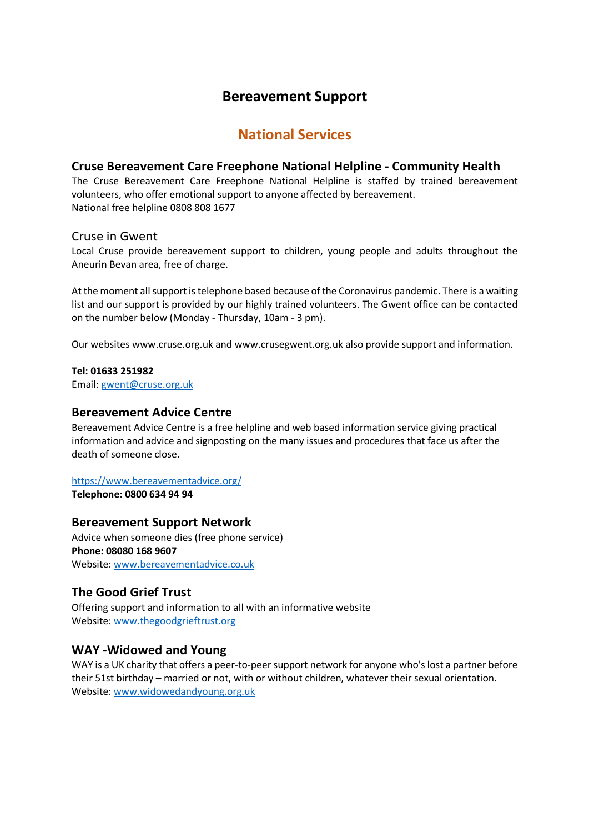## **Bereavement Support**

# **National Services**

#### **Cruse Bereavement Care Freephone National Helpline - Community Health**

The Cruse Bereavement Care Freephone National Helpline is staffed by trained bereavement volunteers, who offer emotional support to anyone affected by bereavement. National free helpline 0808 808 1677

#### Cruse in Gwent

Local Cruse provide bereavement support to children, young people and adults throughout the Aneurin Bevan area, free of charge.

At the moment all support is telephone based because of the Coronavirus pandemic. There is a waiting list and our support is provided by our highly trained volunteers. The Gwent office can be contacted on the number below (Monday - Thursday, 10am - 3 pm).

Our websites www.cruse.org.uk and www.crusegwent.org.uk also provide support and information.

#### **Tel: 01633 251982**

Email: gwent@cruse.org.uk

#### **Bereavement Advice Centre**

Bereavement Advice Centre is a free helpline and web based information service giving practical information and advice and signposting on the many issues and procedures that face us after the death of someone close.

#### https://www.bereavementadvice.org/

**Telephone: 0800 634 94 94** 

#### **Bereavement Support Network**

Advice when someone dies (free phone service) **Phone: 08080 168 9607**  Website: www.bereavementadvice.co.uk

## **The Good Grief Trust**

Offering support and information to all with an informative website Website: www.thegoodgrieftrust.org

## **WAY -Widowed and Young**

WAY is a UK charity that offers a peer-to-peer support network for anyone who's lost a partner before their 51st birthday – married or not, with or without children, whatever their sexual orientation. Website: www.widowedandyoung.org.uk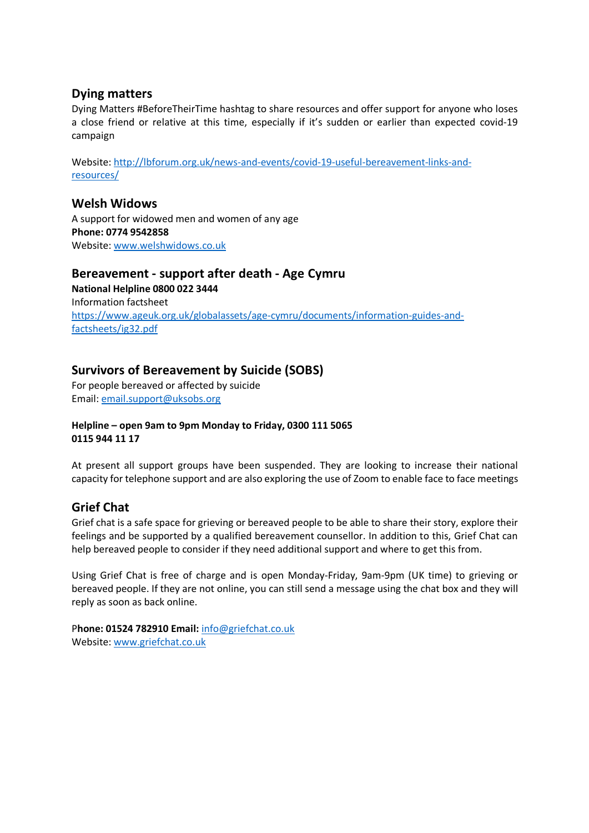#### **Dying matters**

Dying Matters #BeforeTheirTime hashtag to share resources and offer support for anyone who loses a close friend or relative at this time, especially if it's sudden or earlier than expected covid-19 campaign

Website: http://lbforum.org.uk/news-and-events/covid-19-useful-bereavement-links-andresources/

#### **Welsh Widows**

A support for widowed men and women of any age **Phone: 0774 9542858**  Website: www.welshwidows.co.uk

#### **Bereavement - support after death - Age Cymru**

**National Helpline 0800 022 3444**  Information factsheet https://www.ageuk.org.uk/globalassets/age-cymru/documents/information-guides-andfactsheets/ig32.pdf

## **Survivors of Bereavement by Suicide (SOBS)**

For people bereaved or affected by suicide Email: email.support@uksobs.org

#### **Helpline – open 9am to 9pm Monday to Friday, 0300 111 5065 0115 944 11 17**

At present all support groups have been suspended. They are looking to increase their national capacity for telephone support and are also exploring the use of Zoom to enable face to face meetings

## **Grief Chat**

Grief chat is a safe space for grieving or bereaved people to be able to share their story, explore their feelings and be supported by a qualified bereavement counsellor. In addition to this, Grief Chat can help bereaved people to consider if they need additional support and where to get this from.

Using Grief Chat is free of charge and is open Monday-Friday, 9am-9pm (UK time) to grieving or bereaved people. If they are not online, you can still send a message using the chat box and they will reply as soon as back online.

P**hone: 01524 782910 Email:** info@griefchat.co.uk Website: www.griefchat.co.uk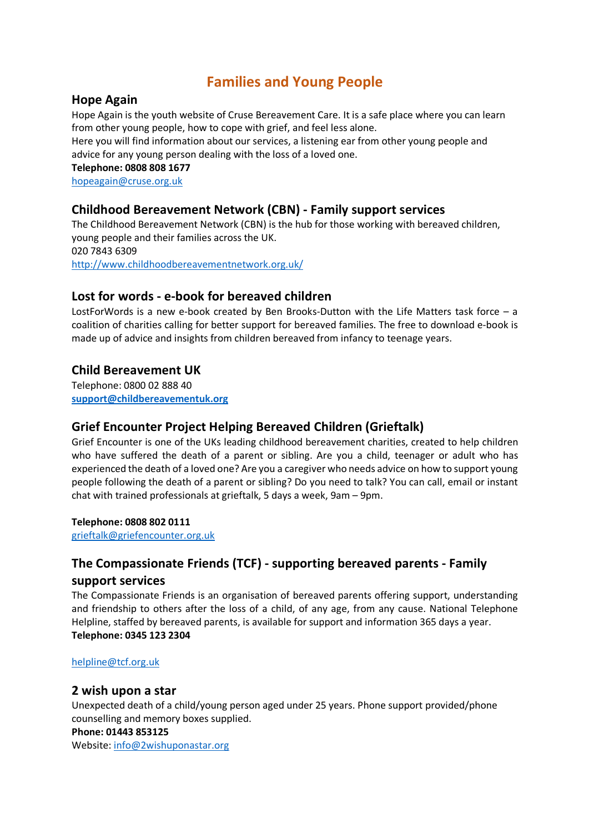# **Families and Young People**

## **Hope Again**

Hope Again is the youth website of Cruse Bereavement Care. It is a safe place where you can learn from other young people, how to cope with grief, and feel less alone.

Here you will find information about our services, a listening ear from other young people and advice for any young person dealing with the loss of a loved one.

**Telephone: 0808 808 1677** 

hopeagain@cruse.org.uk

## **Childhood Bereavement Network (CBN) - Family support services**

The Childhood Bereavement Network (CBN) is the hub for those working with bereaved children, young people and their families across the UK. 020 7843 6309 http://www.childhoodbereavementnetwork.org.uk/

## **Lost for words - e-book for bereaved children**

LostForWords is a new e-book created by Ben Brooks-Dutton with the Life Matters task force – a coalition of charities calling for better support for bereaved families. The free to download e-book is made up of advice and insights from children bereaved from infancy to teenage years.

## **Child Bereavement UK**

Telephone: 0800 02 888 40 **support@childbereavementuk.org**

## **Grief Encounter Project Helping Bereaved Children (Grieftalk)**

Grief Encounter is one of the UKs leading childhood bereavement charities, created to help children who have suffered the death of a parent or sibling. Are you a child, teenager or adult who has experienced the death of a loved one? Are you a caregiver who needs advice on how to support young people following the death of a parent or sibling? Do you need to talk? You can call, email or instant chat with trained professionals at grieftalk, 5 days a week, 9am – 9pm.

#### **Telephone: 0808 802 0111**

grieftalk@griefencounter.org.uk

## **The Compassionate Friends (TCF) - supporting bereaved parents - Family support services**

The Compassionate Friends is an organisation of bereaved parents offering support, understanding and friendship to others after the loss of a child, of any age, from any cause. National Telephone Helpline, staffed by bereaved parents, is available for support and information 365 days a year. **Telephone: 0345 123 2304** 

#### helpline@tcf.org.uk

#### **2 wish upon a star**

Unexpected death of a child/young person aged under 25 years. Phone support provided/phone counselling and memory boxes supplied.

#### **Phone: 01443 853125**

Website: info@2wishuponastar.org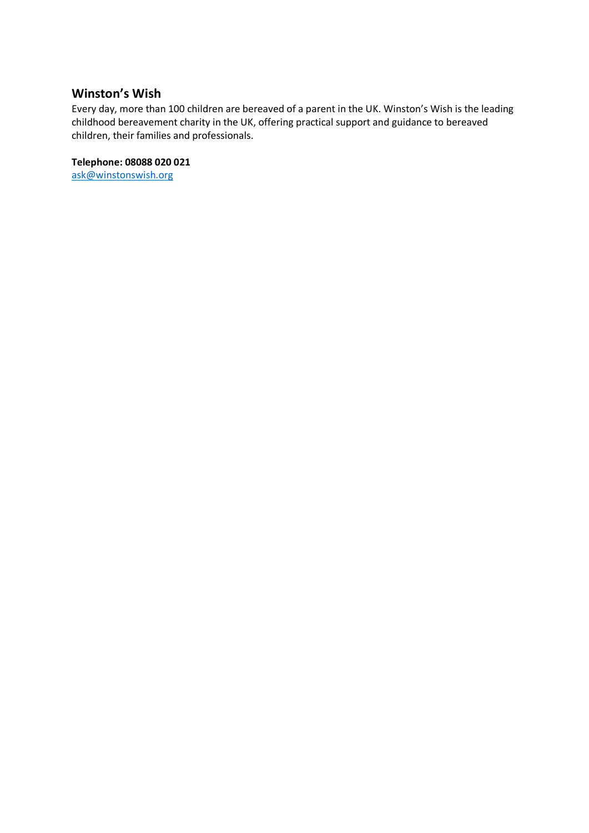## **Winston's Wish**

Every day, more than 100 children are bereaved of a parent in the UK. Winston's Wish is the leading childhood bereavement charity in the UK, offering practical support and guidance to bereaved children, their families and professionals.

#### **Telephone: 08088 020 021**

ask@winstonswish.org